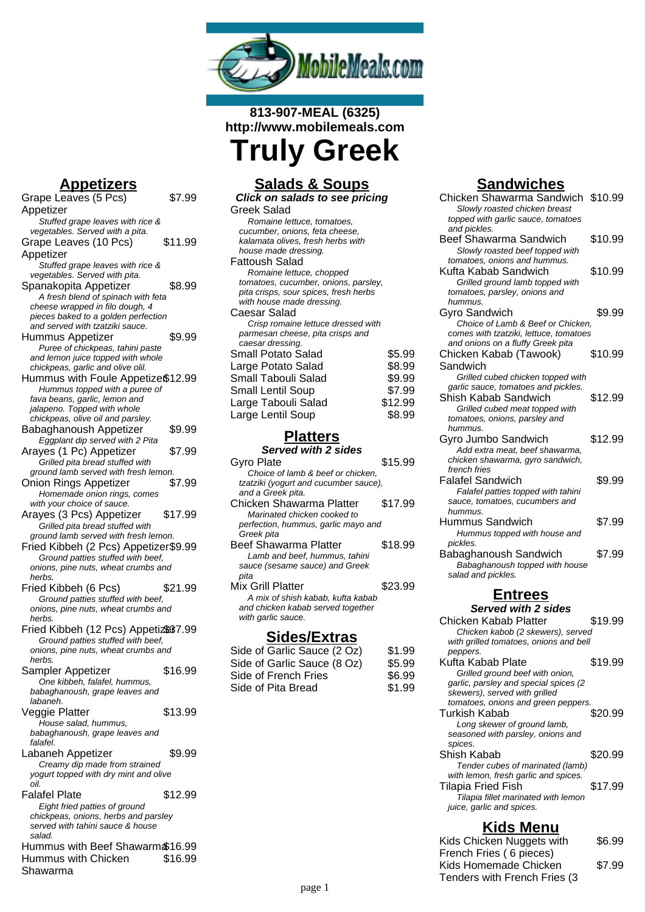

### **813-907-MEAL (6325) http://www.mobilemeals.com Truly Greek**

#### **Appetizers**

| Grape Leaves (5 Pcs)                  | \$7.99  |
|---------------------------------------|---------|
| Appetizer                             |         |
| Stuffed grape leaves with rice &      |         |
| vegetables. Served with a pita.       |         |
| Grape Leaves (10 Pcs)                 | \$11.99 |
|                                       |         |
| Appetizer                             |         |
| Stuffed grape leaves with rice &      |         |
| vegetables. Served with pita.         |         |
| Spanakopita Appetizer                 | \$8.99  |
| A fresh blend of spinach with feta    |         |
| cheese wrapped in filo dough, 4       |         |
| pieces baked to a golden perfection   |         |
| and served with tzatziki sauce.       |         |
| Hummus Appetizer                      | \$9.99  |
| Puree of chickpeas, tahini paste      |         |
| and lemon juice topped with whole     |         |
|                                       |         |
| chickpeas, garlic and olive olil.     |         |
| Hummus with Foule Appetize\$12.99     |         |
| Hummus topped with a puree of         |         |
| fava beans, garlic, lemon and         |         |
| jalapeno. Topped with whole           |         |
| chickpeas, olive oil and parsley.     |         |
| Babaghanoush Appetizer                | \$9.99  |
| Eggplant dip served with 2 Pita       |         |
| Arayes (1 Pc) Appetizer               | \$7.99  |
| Grilled pita bread stuffed with       |         |
| ground lamb served with fresh lemon.  |         |
|                                       |         |
| <b>Onion Rings Appetizer</b>          | \$7.99  |
| Homemade onion rings, comes           |         |
| with your choice of sauce.            |         |
| Arayes (3 Pcs) Appetizer              | \$17.99 |
| Grilled pita bread stuffed with       |         |
| ground lamb served with fresh lemon.  |         |
| Fried Kibbeh (2 Pcs) Appetizer\$9.99  |         |
| Ground patties stuffed with beef,     |         |
|                                       |         |
|                                       |         |
| onions, pine nuts, wheat crumbs and   |         |
| herbs.                                |         |
| Fried Kibbeh (6 Pcs)                  | \$21.99 |
| Ground patties stuffed with beef,     |         |
| onions, pine nuts, wheat crumbs and   |         |
| herbs.                                |         |
| Fried Kibbeh (12 Pcs) Appetiz837.99   |         |
| Ground patties stuffed with beef,     |         |
| onions, pine nuts, wheat crumbs and   |         |
| herbs.                                |         |
|                                       |         |
| Sampler Appetizer                     | \$16.99 |
| One kibbeh, falafel, hummus,          |         |
| babaghanoush, grape leaves and        |         |
| labaneh.                              |         |
| Veggie Platter                        | \$13.99 |
| House salad, hummus,                  |         |
| babaghanoush, grape leaves and        |         |
| falafel.                              |         |
| Labaneh Appetizer                     | \$9.99  |
| Creamy dip made from strained         |         |
| yogurt topped with dry mint and olive |         |
| oil.                                  |         |
| <b>Falafel Plate</b>                  |         |
|                                       | \$12.99 |
| Eight fried patties of ground         |         |
| chickpeas, onions, herbs and parsley  |         |
| served with tahini sauce & house      |         |
| salad.                                |         |
| Hummus with Beef Shawarm \$16.99      |         |
| Hummus with Chicken<br>Shawarma       | \$16.99 |

# **Salads & Soups**

| Click on salads to see pricing        |         |
|---------------------------------------|---------|
| Greek Salad                           |         |
| Romaine lettuce, tomatoes,            |         |
| cucumber, onions, feta cheese,        |         |
| kalamata olives, fresh herbs with     |         |
| house made dressing.                  |         |
| Fattoush Salad                        |         |
| Romaine lettuce, chopped              |         |
| tomatoes, cucumber, onions, parsley,  |         |
| pita crisps, sour spices, fresh herbs |         |
| with house made dressing.             |         |
| Caesar Salad                          |         |
| Crisp romaine lettuce dressed with    |         |
| parmesan cheese, pita crisps and      |         |
| caesar dressing.                      |         |
| Small Potato Salad                    | \$5.99  |
| Large Potato Salad                    | \$8.99  |
| Small Tabouli Salad                   | \$9.99  |
| Small Lentil Soup                     | \$7.99  |
| Large Tabouli Salad                   | \$12.99 |
|                                       |         |
| Large Lentil Soup                     | \$8.99  |

## **Platters**

| <b>Served with 2 sides</b>                                             |         |
|------------------------------------------------------------------------|---------|
| Gyro Plate                                                             | \$15.99 |
| Choice of lamb & beef or chicken,                                      |         |
| tzatziki (yogurt and cucumber sauce),                                  |         |
| and a Greek pita.                                                      |         |
| Chicken Shawarma Platter                                               | \$17.99 |
| Marinated chicken cooked to                                            |         |
| perfection, hummus, garlic mayo and                                    |         |
| Greek pita                                                             |         |
| Beef Shawarma Platter                                                  | \$18.99 |
| Lamb and beef, hummus, tahini                                          |         |
| sauce (sesame sauce) and Greek<br>pita                                 |         |
| Mix Grill Platter                                                      | \$23.99 |
|                                                                        |         |
| A mix of shish kabab, kufta kabab<br>and chicken kabab served together |         |
| with garlic sauce.                                                     |         |
|                                                                        |         |
|                                                                        |         |

#### **Sides/Extras**

| Side of Garlic Sauce (2 Oz) | \$1.99 |
|-----------------------------|--------|
| Side of Garlic Sauce (8 Oz) | \$5.99 |
| Side of French Fries        | \$6.99 |
| Side of Pita Bread          | \$1.99 |

#### **Sandwiches**

| <u>JUINWIVIIGJ</u>                                         |         |
|------------------------------------------------------------|---------|
| Chicken Shawarma Sandwich<br>Slowly roasted chicken breast | \$10.99 |
| topped with garlic sauce, tomatoes                         |         |
| and pickles.                                               |         |
| Beef Shawarma Sandwich                                     | \$10.99 |
| Slowly roasted beef topped with                            |         |
| tomatoes, onions and hummus.                               |         |
| Kufta Kabab Sandwich                                       | \$10.99 |
| Grilled ground lamb topped with                            |         |
| tomatoes, parsley, onions and                              |         |
| hummus.                                                    |         |
| Gyro Sandwich                                              | \$9.99  |
| Choice of Lamb & Beef or Chicken,                          |         |
| comes with tzatziki, lettuce, tomatoes                     |         |
| and onions on a fluffy Greek pita                          |         |
| Chicken Kabab (Tawook)                                     | \$10.99 |
| Sandwich                                                   |         |
| Grilled cubed chicken topped with                          |         |
| garlic sauce, tomatoes and pickles.                        |         |
| Shish Kabab Sandwich                                       | \$12.99 |
|                                                            |         |
| Grilled cubed meat topped with                             |         |
| tomatoes, onions, parsley and                              |         |
| hummus.                                                    |         |
| Gyro Jumbo Sandwich                                        | \$12.99 |
| Add extra meat, beef shawarma,                             |         |
| chicken shawarma, gyro sandwich,                           |         |
| french fries                                               |         |
| Falafel Sandwich                                           | \$9.99  |
| Falafel patties topped with tahini                         |         |
| sauce, tomatoes, cucumbers and                             |         |
| hummus.                                                    |         |
| Hummus Sandwich                                            | \$7.99  |
| Hummus topped with house and                               |         |
| pickles.                                                   |         |
| Babaghanoush Sandwich                                      | \$7.99  |
| Babaghanoush topped with house                             |         |
| salad and pickles.                                         |         |
| <b>Entrees</b>                                             |         |
|                                                            |         |
| Served with 2 sides                                        |         |
| Chicken Kabab Platter                                      | \$19.99 |
| Chicken kabob (2 skewers), served                          |         |
| with grilled tomatoes, onions and bell                     |         |
| peppers.                                                   |         |
|                                                            |         |

| peppers.                              |         |
|---------------------------------------|---------|
| Kufta Kabab Plate                     | \$19.99 |
| Grilled ground beef with onion,       |         |
| garlic, parsley and special spices (2 |         |
| skewers), served with grilled         |         |
| tomatoes, onions and green peppers.   |         |
| Turkish Kabab                         | \$20.99 |
| Long skewer of ground lamb,           |         |
| seasoned with parsley, onions and     |         |
| spices.                               |         |
| Shish Kabab                           | \$20.99 |
| Tender cubes of marinated (lamb)      |         |
| with lemon, fresh garlic and spices.  |         |
| <b>Tilapia Fried Fish</b>             | \$17.99 |
| Tilapia fillet marinated with lemon   |         |
| juice, garlic and spices.             |         |
|                                       |         |

### **Kids Menu**

| Kids Chicken Nuggets with    | \$6.99 |
|------------------------------|--------|
| French Fries (6 pieces)      |        |
| Kids Homemade Chicken        | \$7.99 |
| Tenders with French Fries (3 |        |